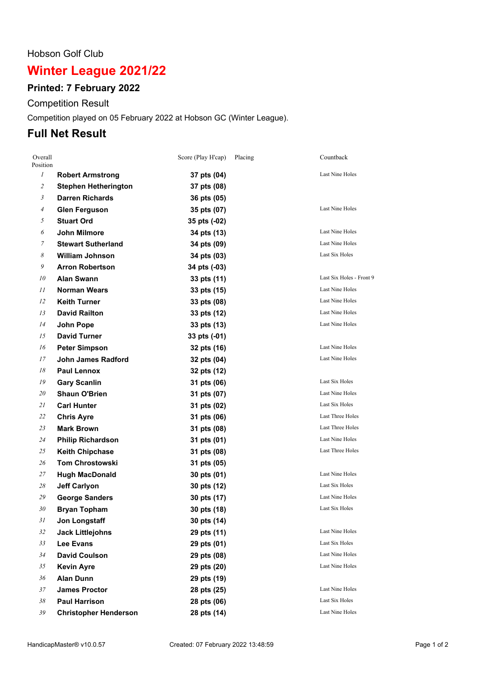#### Hobson Golf Club

# **Winter League 2021/22**

## **Printed: 7 February 2022**

Competition Result

Competition played on 05 February 2022 at Hobson GC (Winter League).

## **Full Net Result**

| Overall<br>Position |                              | Score (Play H'cap) | Placing | Countback                |
|---------------------|------------------------------|--------------------|---------|--------------------------|
| $\mathfrak{I}$      | <b>Robert Armstrong</b>      | 37 pts (04)        |         | Last Nine Holes          |
| $\mathfrak{2}$      | <b>Stephen Hetherington</b>  | 37 pts (08)        |         |                          |
| 3                   | <b>Darren Richards</b>       | 36 pts (05)        |         |                          |
| $\overline{A}$      | <b>Glen Ferguson</b>         | 35 pts (07)        |         | Last Nine Holes          |
| 5                   | <b>Stuart Ord</b>            | 35 pts (-02)       |         |                          |
| 6                   | John Milmore                 | 34 pts (13)        |         | Last Nine Holes          |
| 7                   | <b>Stewart Sutherland</b>    | 34 pts (09)        |         | Last Nine Holes          |
| 8                   | <b>William Johnson</b>       | 34 pts (03)        |         | Last Six Holes           |
| 9                   | <b>Arron Robertson</b>       | 34 pts (-03)       |         |                          |
| 10                  | <b>Alan Swann</b>            | 33 pts (11)        |         | Last Six Holes - Front 9 |
| 11                  | <b>Norman Wears</b>          | 33 pts (15)        |         | Last Nine Holes          |
| 12                  | <b>Keith Turner</b>          | 33 pts (08)        |         | Last Nine Holes          |
| 13                  | <b>David Railton</b>         | 33 pts (12)        |         | Last Nine Holes          |
| 14                  | John Pope                    | 33 pts (13)        |         | Last Nine Holes          |
| 15                  | <b>David Turner</b>          | 33 pts (-01)       |         |                          |
| 16                  | <b>Peter Simpson</b>         | 32 pts (16)        |         | Last Nine Holes          |
| 17                  | <b>John James Radford</b>    | 32 pts (04)        |         | Last Nine Holes          |
| 18                  | <b>Paul Lennox</b>           | 32 pts (12)        |         |                          |
| 19                  | <b>Gary Scanlin</b>          | 31 pts (06)        |         | Last Six Holes           |
| 20                  | <b>Shaun O'Brien</b>         | 31 pts (07)        |         | Last Nine Holes          |
| 21                  | <b>Carl Hunter</b>           | 31 pts (02)        |         | Last Six Holes           |
| 22                  | <b>Chris Ayre</b>            | 31 pts (06)        |         | Last Three Holes         |
| 23                  | <b>Mark Brown</b>            | 31 pts (08)        |         | <b>Last Three Holes</b>  |
| 24                  | <b>Philip Richardson</b>     | 31 pts (01)        |         | Last Nine Holes          |
| 25                  | <b>Keith Chipchase</b>       | 31 pts (08)        |         | Last Three Holes         |
| 26                  | <b>Tom Chrostowski</b>       | 31 pts (05)        |         |                          |
| 27                  | <b>Hugh MacDonald</b>        | 30 pts (01)        |         | Last Nine Holes          |
| 28                  | <b>Jeff Carlyon</b>          | 30 pts (12)        |         | Last Six Holes           |
| 29                  | <b>George Sanders</b>        | 30 pts (17)        |         | Last Nine Holes          |
| 30                  | <b>Bryan Topham</b>          | 30 pts (18)        |         | Last Six Holes           |
| 31                  | Jon Longstaff                | 30 pts (14)        |         |                          |
| 32                  | <b>Jack Littlejohns</b>      | 29 pts (11)        |         | Last Nine Holes          |
| 33                  | <b>Lee Evans</b>             | 29 pts (01)        |         | Last Six Holes           |
| 34                  | <b>David Coulson</b>         | 29 pts (08)        |         | Last Nine Holes          |
| 35                  | <b>Kevin Ayre</b>            | 29 pts (20)        |         | Last Nine Holes          |
| 36                  | <b>Alan Dunn</b>             | 29 pts (19)        |         |                          |
| 37                  | <b>James Proctor</b>         | 28 pts (25)        |         | Last Nine Holes          |
| 38                  | <b>Paul Harrison</b>         | 28 pts (06)        |         | Last Six Holes           |
| 39                  | <b>Christopher Henderson</b> | 28 pts (14)        |         | Last Nine Holes          |